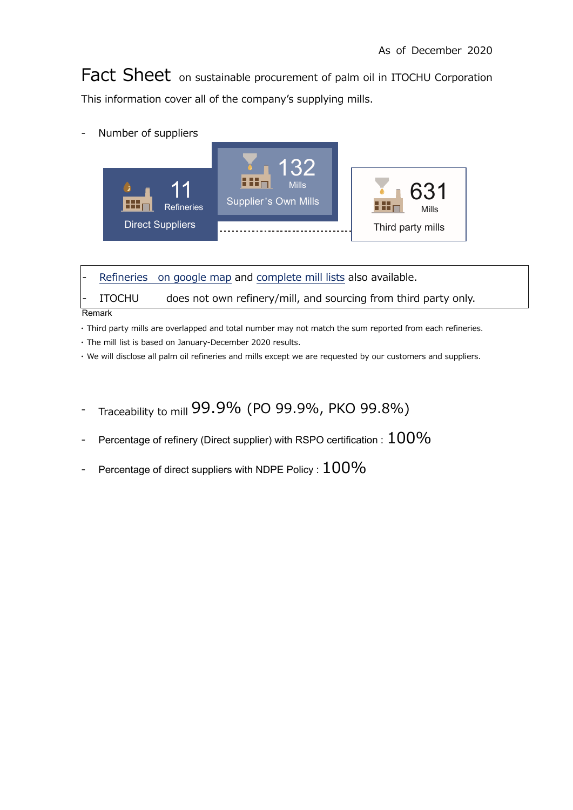Fact Sheet on sustainable procurement of palm oil in ITOCHU Corporation This information cover all of the company's supplying mills.

- Number of suppliers



Refineries on google map and complete mill lists also available.

ITOCHU does not own refinery/mill, and sourcing from third party only.

Remark

・ Third party mills are overlapped and total number may not match the sum reported from each refineries.

・ The mill list is based on January-December 2020 results.

・ We will disclose all palm oil refineries and mills except we are requested by our customers and suppliers.

- Traceability to mill 99.9% (PO 99.9%, PKO 99.8%)
- Percentage of refinery (Direct supplier) with RSPO certification :  $100\%$
- Percentage of direct suppliers with NDPE Policy :  $100\%$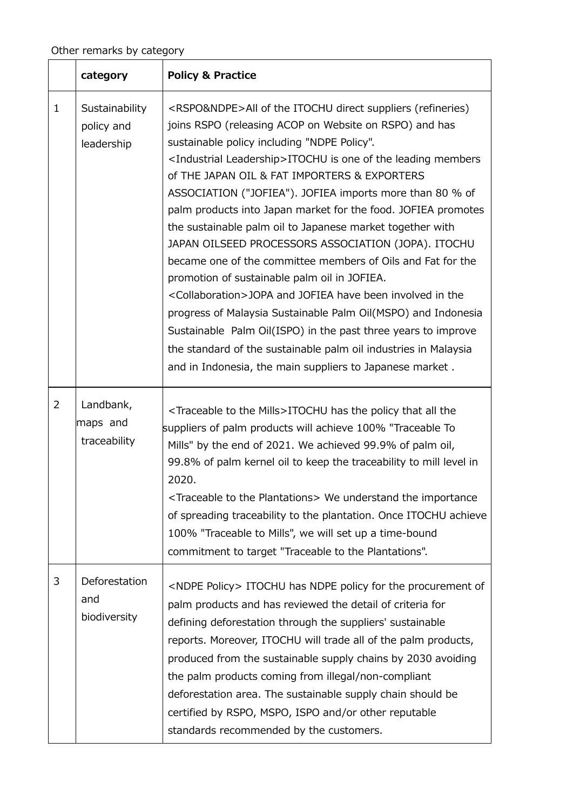|                | category                                   | <b>Policy &amp; Practice</b>                                                                                                                                                                                                                                                                                                                                                                                                                                                                                                                                                                                                                                                                                                                                                                                                                                                                                                                                                                                                                       |
|----------------|--------------------------------------------|----------------------------------------------------------------------------------------------------------------------------------------------------------------------------------------------------------------------------------------------------------------------------------------------------------------------------------------------------------------------------------------------------------------------------------------------------------------------------------------------------------------------------------------------------------------------------------------------------------------------------------------------------------------------------------------------------------------------------------------------------------------------------------------------------------------------------------------------------------------------------------------------------------------------------------------------------------------------------------------------------------------------------------------------------|
| $\mathbf{1}$   | Sustainability<br>policy and<br>leadership | <rspo&ndpe>All of the ITOCHU direct suppliers (refineries)<br/>joins RSPO (releasing ACOP on Website on RSPO) and has<br/>sustainable policy including "NDPE Policy".<br/><industrial leadership="">ITOCHU is one of the leading members<br/>of THE JAPAN OIL &amp; FAT IMPORTERS &amp; EXPORTERS<br/>ASSOCIATION ("JOFIEA"). JOFIEA imports more than 80 % of<br/>palm products into Japan market for the food. JOFIEA promotes<br/>the sustainable palm oil to Japanese market together with<br/>JAPAN OILSEED PROCESSORS ASSOCIATION (JOPA). ITOCHU<br/>became one of the committee members of Oils and Fat for the<br/>promotion of sustainable palm oil in JOFIEA.<br/><collaboration>JOPA and JOFIEA have been involved in the<br/>progress of Malaysia Sustainable Palm Oil(MSPO) and Indonesia<br/>Sustainable Palm Oil(ISPO) in the past three years to improve<br/>the standard of the sustainable palm oil industries in Malaysia<br/>and in Indonesia, the main suppliers to Japanese market.</collaboration></industrial></rspo&ndpe> |
| $\overline{2}$ | Landbank,<br>maps and<br>traceability      | <traceable mills="" the="" to="">ITOCHU has the policy that all the<br/>suppliers of palm products will achieve 100% "Traceable To<br/>Mills" by the end of 2021. We achieved 99.9% of palm oil,<br/>99.8% of palm kernel oil to keep the traceability to mill level in<br/>2020.<br/><traceable plantations="" the="" to=""> We understand the importance<br/>of spreading traceability to the plantation. Once ITOCHU achieve<br/>100% "Traceable to Mills", we will set up a time-bound<br/>commitment to target "Traceable to the Plantations".</traceable></traceable>                                                                                                                                                                                                                                                                                                                                                                                                                                                                        |
| 3              | Deforestation<br>and<br>biodiversity       | <ndpe policy=""> ITOCHU has NDPE policy for the procurement of<br/>palm products and has reviewed the detail of criteria for<br/>defining deforestation through the suppliers' sustainable<br/>reports. Moreover, ITOCHU will trade all of the palm products,<br/>produced from the sustainable supply chains by 2030 avoiding<br/>the palm products coming from illegal/non-compliant<br/>deforestation area. The sustainable supply chain should be<br/>certified by RSPO, MSPO, ISPO and/or other reputable<br/>standards recommended by the customers.</ndpe>                                                                                                                                                                                                                                                                                                                                                                                                                                                                                  |